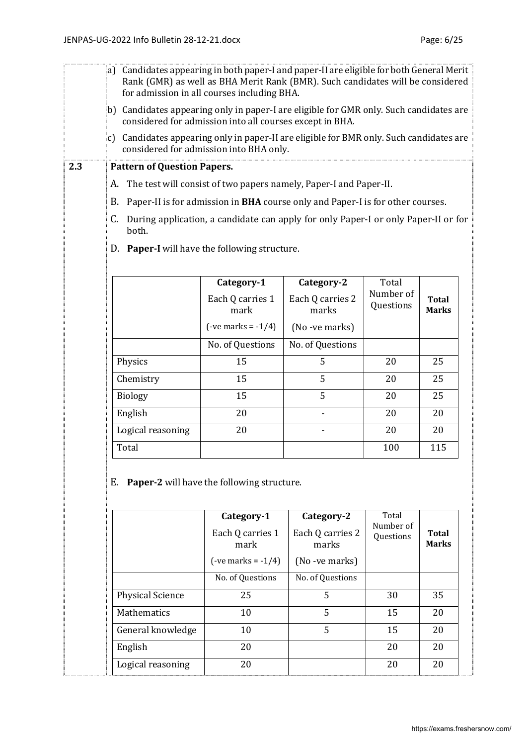|     | a) Candidates appearing in both paper-I and paper-II are eligible for both General Merit<br>Rank (GMR) as well as BHA Merit Rank (BMR). Such candidates will be considered<br>for admission in all courses including BHA. |                          |                           |                        |                              |  |  |  |
|-----|---------------------------------------------------------------------------------------------------------------------------------------------------------------------------------------------------------------------------|--------------------------|---------------------------|------------------------|------------------------------|--|--|--|
|     | b) Candidates appearing only in paper-I are eligible for GMR only. Such candidates are<br>considered for admission into all courses except in BHA.                                                                        |                          |                           |                        |                              |  |  |  |
|     | c) Candidates appearing only in paper-II are eligible for BMR only. Such candidates are<br>considered for admission into BHA only.                                                                                        |                          |                           |                        |                              |  |  |  |
| 2.3 | <b>Pattern of Question Papers.</b>                                                                                                                                                                                        |                          |                           |                        |                              |  |  |  |
|     | The test will consist of two papers namely, Paper-I and Paper-II.<br>А.                                                                                                                                                   |                          |                           |                        |                              |  |  |  |
|     | Paper-II is for admission in BHA course only and Paper-I is for other courses.<br>В.                                                                                                                                      |                          |                           |                        |                              |  |  |  |
|     | During application, a candidate can apply for only Paper-I or only Paper-II or for<br>C.<br>both.                                                                                                                         |                          |                           |                        |                              |  |  |  |
|     | D. Paper-I will have the following structure.                                                                                                                                                                             |                          |                           |                        |                              |  |  |  |
|     |                                                                                                                                                                                                                           |                          |                           |                        |                              |  |  |  |
|     |                                                                                                                                                                                                                           | Category-1               | Category-2                | Total                  |                              |  |  |  |
|     |                                                                                                                                                                                                                           | Each Q carries 1<br>mark | Each Q carries 2<br>marks | Number of<br>Questions | <b>Total</b><br><b>Marks</b> |  |  |  |
|     |                                                                                                                                                                                                                           | $(-ve marks = -1/4)$     | (No -ve marks)            |                        |                              |  |  |  |
|     |                                                                                                                                                                                                                           | No. of Questions         | No. of Questions          |                        |                              |  |  |  |
|     | Physics                                                                                                                                                                                                                   | 15                       | 5                         | 20                     | 25                           |  |  |  |
|     | Chemistry                                                                                                                                                                                                                 | 15                       | 5                         | 20                     | 25                           |  |  |  |
|     | <b>Biology</b>                                                                                                                                                                                                            | 15                       | 5                         | 20                     | 25                           |  |  |  |
|     | English                                                                                                                                                                                                                   | 20                       |                           | 20                     | 20                           |  |  |  |
|     | Logical reasoning                                                                                                                                                                                                         | 20                       |                           | 20                     | 20                           |  |  |  |

E. **Paper-2** will have the following structure.

|                         | Category-1<br>Each Q carries 1<br>mark<br>$(-ve marks = -1/4)$ | Category-2<br>Each Q carries 2<br>marks<br>(No -ve marks) | Total<br>Number of<br>Questions | Total<br><b>Marks</b> |
|-------------------------|----------------------------------------------------------------|-----------------------------------------------------------|---------------------------------|-----------------------|
|                         | No. of Questions                                               | No. of Questions                                          |                                 |                       |
| <b>Physical Science</b> | 25                                                             | 5                                                         | 30                              | 35                    |
| <b>Mathematics</b>      | 10                                                             | 5                                                         | 15                              | 20                    |
| General knowledge       | 10                                                             | 5                                                         | 15                              | 20                    |
| English                 | 20                                                             |                                                           | 20                              | 20                    |
| Logical reasoning       | 20                                                             |                                                           | 20                              | 20                    |